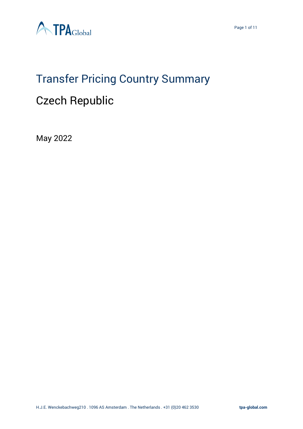



# Transfer Pricing Country Summary

# Czech Republic

May 2022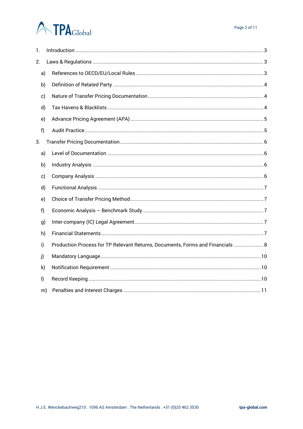# **ATPA**Global

| 1.           |    |                                                                                |
|--------------|----|--------------------------------------------------------------------------------|
| 2.           |    |                                                                                |
| a)           |    |                                                                                |
| b)           |    |                                                                                |
| c)           |    |                                                                                |
| d)           |    |                                                                                |
| e)           |    |                                                                                |
| f)           |    |                                                                                |
| 3.           |    |                                                                                |
| a)           |    |                                                                                |
| b)           |    |                                                                                |
| c)           |    |                                                                                |
| d)           |    |                                                                                |
| e)           |    |                                                                                |
| f)           |    |                                                                                |
| g)           |    |                                                                                |
| h)           |    |                                                                                |
| i)           |    | Production Process for TP Relevant Returns, Documents, Forms and Financials  8 |
| j)           |    |                                                                                |
| $\mathsf{k}$ |    |                                                                                |
| $\mathsf{I}$ |    |                                                                                |
|              | m) |                                                                                |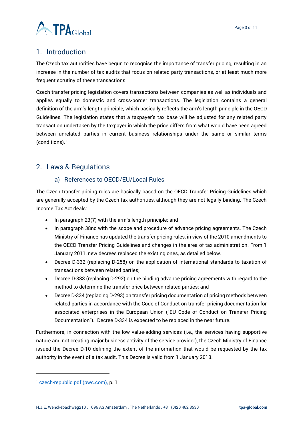

# <span id="page-2-0"></span>1. Introduction

The Czech tax authorities have begun to recognise the importance of transfer pricing, resulting in an increase in the number of tax audits that focus on related party transactions, or at least much more frequent scrutiny of these transactions.

Czech transfer pricing legislation covers transactions between companies as well as individuals and applies equally to domestic and cross-border transactions. The legislation contains a general definition of the arm's-length principle, which basically reflects the arm's-length principle in the OECD Guidelines. The legislation states that a taxpayer's tax base will be adjusted for any related party transaction undertaken by the taxpayer in which the price differs from what would have been agreed between unrelated parties in current business relationships under the same or similar terms  $(conditions).<sup>1</sup>$ 

# <span id="page-2-2"></span><span id="page-2-1"></span>2. Laws & Regulations

# a) References to OECD/EU/Local Rules

The Czech transfer pricing rules are basically based on the OECD Transfer Pricing Guidelines which are generally accepted by the Czech tax authorities, although they are not legally binding. The Czech Income Tax Act deals:

- In paragraph 23(7) with the arm's length principle; and
- In paragraph 38nc with the scope and procedure of advance pricing agreements. The Czech Ministry of Finance has updated the transfer pricing rules, in view of the 2010 amendments to the OECD Transfer Pricing Guidelines and changes in the area of tax administration. From 1 January 2011, new decrees replaced the existing ones, as detailed below.
- Decree D-332 (replacing D-258) on the application of international standards to taxation of transactions between related parties;
- Decree D-333 (replacing D-292) on the binding advance pricing agreements with regard to the method to determine the transfer price between related parties; and
- Decree D-334 (replacing D-293) on transfer pricing documentation of pricing methods between related parties in accordance with the Code of Conduct on transfer pricing documentation for associated enterprises in the European Union ("EU Code of Conduct on Transfer Pricing Documentation"). Decree D-334 is expected to be replaced in the near future.

Furthermore, in connection with the low value-adding services (i.e., the services having supportive nature and not creating major business activity of the service provider), the Czech Ministry of Finance issued the Decree D-10 defining the extent of the information that would be requested by the tax authority in the event of a tax audit. This Decree is valid from 1 January 2013.

<sup>1</sup> [czech-republic.pdf \(pwc.com\),](https://www.pwc.com/gx/en/international-transfer-pricing/assets/czech-republic.pdf#:~:text=Czech%20transfer%20pricing%20legislation%20covers%20transactions%20between%20companies,reflects%20the%20arm%E2%80%99s-length%20principle%20in%20the%20OECD%20Guidelines.) p. 1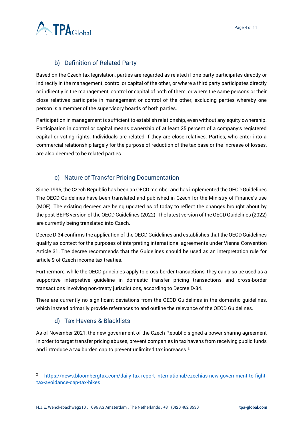

# b) Definition of Related Party

<span id="page-3-0"></span>Based on the Czech tax legislation, parties are regarded as related if one party participates directly or indirectly in the management, control or capital of the other, or where a third party participates directly or indirectly in the management, control or capital of both of them, or where the same persons or their close relatives participate in management or control of the other, excluding parties whereby one person is a member of the supervisory boards of both parties.

Participation in management is sufficient to establish relationship, even without any equity ownership. Participation in control or capital means ownership of at least 25 percent of a company's registered capital or voting rights. Individuals are related if they are close relatives. Parties, who enter into a commercial relationship largely for the purpose of reduction of the tax base or the increase of losses, are also deemed to be related parties.

# c) Nature of Transfer Pricing Documentation

<span id="page-3-1"></span>Since 1995, the Czech Republic has been an OECD member and has implemented the OECD Guidelines. The OECD Guidelines have been translated and published in Czech for the Ministry of Finance's use (MOF). The existing decrees are being updated as of today to reflect the changes brought about by the post-BEPS version of the OECD Guidelines (2022). The latest version of the OECD Guidelines (2022) are currently being translated into Czech.

Decree D-34 confirms the application of the OECD Guidelines and establishes that the OECD Guidelines qualify as context for the purposes of interpreting international agreements under Vienna Convention Article 31. The decree recommends that the Guidelines should be used as an interpretation rule for article 9 of Czech income tax treaties.

Furthermore, while the OECD principles apply to cross-border transactions, they can also be used as a supportive interpretive guideline in domestic transfer pricing transactions and cross-border transactions involving non-treaty jurisdictions, according to Decree D-34.

There are currently no significant deviations from the OECD Guidelines in the domestic guidelines, which instead primarily provide references to and outline the relevance of the OECD Guidelines.

# d) Tax Havens & Blacklists

<span id="page-3-2"></span>As of November 2021, the new government of the Czech Republic signed a power sharing agreement in order to target transfer pricing abuses, prevent companies in tax havens from receiving public funds and introduce a tax burden cap to prevent unlimited tax increases.<sup>2</sup>

<sup>&</sup>lt;sup>2</sup> https://news.bloombergtax.com/daily-tax-report-international/czechias-new-government-to-fighttax-avoidance-cap-tax-hikes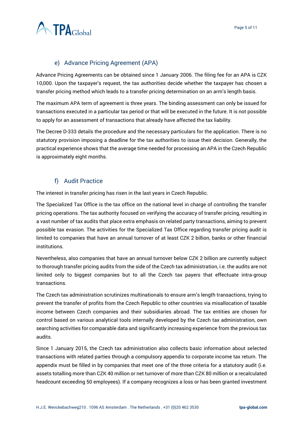

# e) Advance Pricing Agreement (APA)

<span id="page-4-0"></span>Advance Pricing Agreements can be obtained since 1 January 2006. The filing fee for an APA is CZK 10,000. Upon the taxpayer's request, the tax authorities decide whether the taxpayer has chosen a transfer pricing method which leads to a transfer pricing determination on an arm's length basis.

The maximum APA term of agreement is three years. The binding assessment can only be issued for transactions executed in a particular tax period or that will be executed in the future. It is not possible to apply for an assessment of transactions that already have affected the tax liability.

The Decree D-333 details the procedure and the necessary particulars for the application. There is no statutory provision imposing a deadline for the tax authorities to issue their decision. Generally, the practical experience shows that the average time needed for processing an APA in the Czech Republic is approximately eight months.

# f) Audit Practice

<span id="page-4-1"></span>The interest in transfer pricing has risen in the last years in Czech Republic.

The Specialized Tax Office is the tax office on the national level in charge of controlling the transfer pricing operations. The tax authority focused on verifying the accuracy of transfer pricing, resulting in a vast number of tax audits that place extra emphasis on related party transactions, aiming to prevent possible tax evasion. The activities for the Specialized Tax Office regarding transfer pricing audit is limited to companies that have an annual turnover of at least CZK 2 billion, banks or other financial institutions.

Nevertheless, also companies that have an annual turnover below CZK 2 billion are currently subject to thorough transfer pricing audits from the side of the Czech tax administration, i.e. the audits are not limited only to biggest companies but to all the Czech tax payers that effectuate intra-group transactions.

The Czech tax administration scrutinizes multinationals to ensure arm's length transactions, trying to prevent the transfer of profits from the Czech Republic to other countries via misallocation of taxable income between Czech companies and their subsidiaries abroad. The tax entities are chosen for control based on various analytical tools internally developed by the Czech tax administration, own searching activities for comparable data and significantly increasing experience from the previous tax audits.

Since 1 January 2015, the Czech tax administration also collects basic information about selected transactions with related parties through a compulsory appendix to corporate income tax return. The appendix must be filled in by companies that meet one of the three criteria for a statutory audit (i.e. assets totalling more than CZK 40 million or net turnover of more than CZK 80 million or a recalculated headcount exceeding 50 employees). If a company recognizes a loss or has been granted investment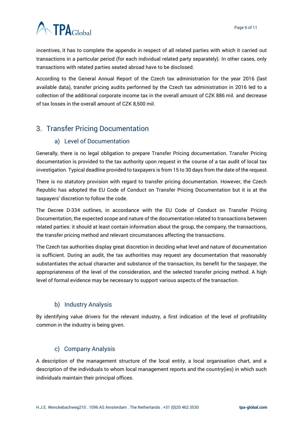# **ATPA**Global

incentives, it has to complete the appendix in respect of all related parties with which it carried out transactions in a particular period (for each individual related party separately). In other cases, only transactions with related parties seated abroad have to be disclosed.

According to the General Annual Report of the Czech tax administration for the year 2016 (last available data), transfer pricing audits performed by the Czech tax administration in 2016 led to a collection of the additional corporate income tax in the overall amount of CZK 886 mil. and decrease of tax losses in the overall amount of CZK 8,500 mil.

# <span id="page-5-1"></span><span id="page-5-0"></span>3. Transfer Pricing Documentation

#### a) Level of Documentation

Generally, there is no legal obligation to prepare Transfer Pricing documentation. Transfer Pricing documentation is provided to the tax authority upon request in the course of a tax audit of local tax investigation. Typical deadline provided to taxpayers is from 15 to 30 days from the date of the request.

There is no statutory provision with regard to transfer pricing documentation. However, the Czech Republic has adopted the EU Code of Conduct on Transfer Pricing Documentation but it is at the taxpayers' discretion to follow the code.

The Decree D-334 outlines, in accordance with the EU Code of Conduct on Transfer Pricing Documentation, the expected scope and nature of the documentation related to transactions between related parties: it should at least contain information about the group, the company, the transactions, the transfer pricing method and relevant circumstances affecting the transactions.

The Czech tax authorities display great discretion in deciding what level and nature of documentation is sufficient. During an audit, the tax authorities may request any documentation that reasonably substantiates the actual character and substance of the transaction, its benefit for the taxpayer, the appropriateness of the level of the consideration, and the selected transfer pricing method. A high level of formal evidence may be necessary to support various aspects of the transaction.

#### b) Industry Analysis

<span id="page-5-2"></span>By identifying value drivers for the relevant industry, a first indication of the level of profitability common in the industry is being given.

# c) Company Analysis

<span id="page-5-3"></span>A description of the management structure of the local entity, a local organisation chart, and a description of the individuals to whom local management reports and the country(ies) in which such individuals maintain their principal offices.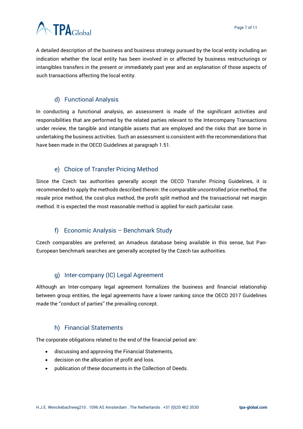

A detailed description of the business and business strategy pursued by the local entity including an indication whether the local entity has been involved in or affected by business restructurings or intangibles transfers in the present or immediately past year and an explanation of those aspects of such transactions affecting the local entity.

# d) Functional Analysis

<span id="page-6-0"></span>In conducting a functional analysis, an assessment is made of the significant activities and responsibilities that are performed by the related parties relevant to the Intercompany Transactions under review, the tangible and intangible assets that are employed and the risks that are borne in undertaking the business activities. Such an assessment is consistent with the recommendations that have been made in the OECD Guidelines at paragraph 1.51.

# e) Choice of Transfer Pricing Method

<span id="page-6-1"></span>Since the Czech tax authorities generally accept the OECD Transfer Pricing Guidelines, it is recommended to apply the methods described therein: the comparable uncontrolled price method, the resale price method, the cost-plus method, the profit split method and the transactional net margin method. It is expected the most reasonable method is applied for each particular case.

# f) Economic Analysis – Benchmark Study

<span id="page-6-2"></span>Czech comparables are preferred, an Amadeus database being available in this sense, but Pan-European benchmark searches are generally accepted by the Czech tax authorities.

#### g) Inter-company (IC) Legal Agreement

<span id="page-6-3"></span>Although an Inter-company legal agreement formalizes the business and financial relationship between group entities, the legal agreements have a lower ranking since the OECD 2017 Guidelines made the ''conduct of parties'' the prevailing concept.

#### h) Financial Statements

<span id="page-6-4"></span>The corporate obligations related to the end of the financial period are:

- discussing and approving the Financial Statements,
- decision on the allocation of profit and loss.
- publication of these documents in the Collection of Deeds.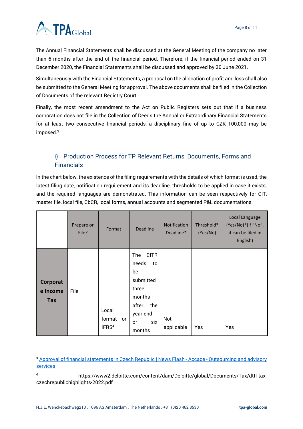# **ATPA**Global

The Annual Financial Statements shall be discussed at the General Meeting of the company no later than 6 months after the end of the financial period. Therefore, if the financial period ended on 31 December 2020, the Financial Statements shall be discussed and approved by 30 June 2021.

Simultaneously with the Financial Statements, a proposal on the allocation of profit and loss shall also be submitted to the General Meeting for approval. The above documents shall be filed in the Collection of Documents of the relevant Registry Court.

Finally, the most recent amendment to the Act on Public Registers sets out that if a business corporation does not file in the Collection of Deeds the Annual or Extraordinary Financial Statements for at least two consecutive financial periods, a disciplinary fine of up to CZK 100,000 may be imposed.<sup>3</sup>

# <span id="page-7-0"></span>i) Production Process for TP Relevant Returns, Documents, Forms and **Financials**

In the chart below, the existence of the filing requirements with the details of which format is used, the latest filing date, notification requirement and its deadline, thresholds to be applied in case it exists, and the required languages are demonstrated. This information can be seen respectively for CIT, master file, local file, CbCR, local forms, annual accounts and segmented P&L documentations.

|                             | Prepare or<br>File? | Format                                     | <b>Deadline</b>                                                                                                            | <b>Notification</b><br>Deadline* | Threshold*<br>(Yes/No) | Local Language<br>(Yes/No)*(If "No",<br>it can be filed in<br>English) |
|-----------------------------|---------------------|--------------------------------------------|----------------------------------------------------------------------------------------------------------------------------|----------------------------------|------------------------|------------------------------------------------------------------------|
| Corporat<br>e Income<br>Tax | File                | Local<br>format<br>or<br>IFRS <sup>4</sup> | <b>CITR</b><br>The<br>needs<br>to<br>be<br>submitted<br>three<br>months<br>the<br>after<br>year-end<br>six<br>or<br>months | Not<br>applicable                | Yes                    | Yes                                                                    |

<sup>&</sup>lt;sup>3</sup> [Approval of financial statements in Czech Republic | News Flash -](https://accace.com/approval-financial-statements-czech-republic-news-flash/) Accace - Outsourcing and advisory [services](https://accace.com/approval-financial-statements-czech-republic-news-flash/)

<sup>4</sup> https://www2.deloitte.com/content/dam/Deloitte/global/Documents/Tax/dttl-taxczechrepublichighlights-2022.pdf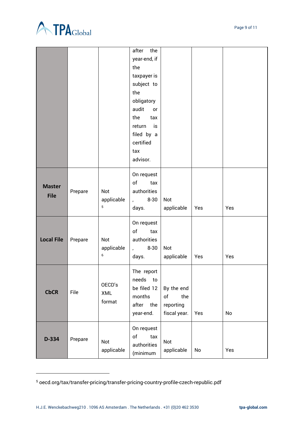



|                   |         |               | after<br>the             |              |     |     |
|-------------------|---------|---------------|--------------------------|--------------|-----|-----|
|                   |         |               | year-end, if             |              |     |     |
|                   |         |               | the                      |              |     |     |
|                   |         |               | taxpayer is              |              |     |     |
|                   |         |               | subject to               |              |     |     |
|                   |         |               | the                      |              |     |     |
|                   |         |               | obligatory               |              |     |     |
|                   |         |               | audit<br><b>or</b>       |              |     |     |
|                   |         |               | the<br>tax               |              |     |     |
|                   |         |               | is<br>return             |              |     |     |
|                   |         |               | filed by a               |              |     |     |
|                   |         |               | certified                |              |     |     |
|                   |         |               | tax                      |              |     |     |
|                   |         |               | advisor.                 |              |     |     |
|                   |         |               | On request               |              |     |     |
|                   | Prepare |               | of<br>tax                |              |     |     |
| <b>Master</b>     |         | Not           | authorities              |              |     |     |
| <b>File</b>       |         | applicable    | $8 - 30$<br>$\mathbf{r}$ | Not          |     |     |
|                   |         | 5             | days.                    | applicable   | Yes | Yes |
|                   |         |               | On request               |              |     |     |
|                   |         |               | of<br>tax                |              |     |     |
| <b>Local File</b> | Prepare | Not           | authorities              |              |     |     |
|                   |         | applicable    | $8 - 30$<br>$\mathbf{r}$ | Not          |     |     |
|                   |         | 6             | days.                    | applicable   | Yes | Yes |
|                   |         |               | The report               |              |     |     |
|                   | File    | OECD's<br>XML | needs<br>to              |              |     |     |
| <b>CbCR</b>       |         |               | be filed 12              | By the end   |     |     |
|                   |         |               | months                   | of<br>the    |     |     |
|                   |         | format        | after the                | reporting    |     |     |
|                   |         |               | year-end.                | fiscal year. | Yes | No  |
|                   | Prepare |               | On request               |              |     |     |
| D-334             |         | Not           | of<br>tax                | Not          |     |     |
|                   |         |               | authorities              |              | No  | Yes |
|                   |         | applicable    | (minimum                 | applicable   |     |     |

<sup>5</sup> oecd.org/tax/transfer-pricing/transfer-pricing-country-profile-czech-republic.pdf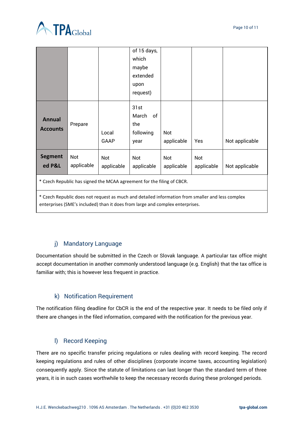

|                                                                                                  |            |            | of 15 days, |            |            |                |  |
|--------------------------------------------------------------------------------------------------|------------|------------|-------------|------------|------------|----------------|--|
|                                                                                                  |            |            | which       |            |            |                |  |
|                                                                                                  |            |            | maybe       |            |            |                |  |
|                                                                                                  |            |            | extended    |            |            |                |  |
|                                                                                                  |            |            | upon        |            |            |                |  |
|                                                                                                  |            |            | request)    |            |            |                |  |
|                                                                                                  |            |            | 31st        |            |            |                |  |
| <b>Annual</b>                                                                                    | Prepare    |            | March<br>of |            |            |                |  |
|                                                                                                  |            |            | the         |            |            |                |  |
| <b>Accounts</b>                                                                                  |            | Local      | following   | Not        |            |                |  |
|                                                                                                  |            | GAAP       | year        | applicable | Yes        | Not applicable |  |
| <b>Segment</b>                                                                                   | Not        | Not        | Not         | Not        | Not        |                |  |
| ed P&L                                                                                           | applicable | applicable | applicable  | applicable | applicable | Not applicable |  |
| * Czech Republic has signed the MCAA agreement for the filing of CBCR.                           |            |            |             |            |            |                |  |
| * Czech Republic does not request as much and detailed information from smaller and less complex |            |            |             |            |            |                |  |

enterprises (SME's included) than it does from large and complex enterprises.

# j) Mandatory Language

<span id="page-9-0"></span>Documentation should be submitted in the Czech or Slovak language. A particular tax office might accept documentation in another commonly understood language (e.g. English) that the tax office is familiar with; this is however less frequent in practice.

# k) Notification Requirement

<span id="page-9-1"></span>The notification filing deadline for CbCR is the end of the respective year. It needs to be filed only if there are changes in the filed information, compared with the notification for the previous year.

# l) Record Keeping

<span id="page-9-2"></span>There are no specific transfer pricing regulations or rules dealing with record keeping. The record keeping regulations and rules of other disciplines (corporate income taxes, accounting legislation) consequently apply. Since the statute of limitations can last longer than the standard term of three years, it is in such cases worthwhile to keep the necessary records during these prolonged periods.